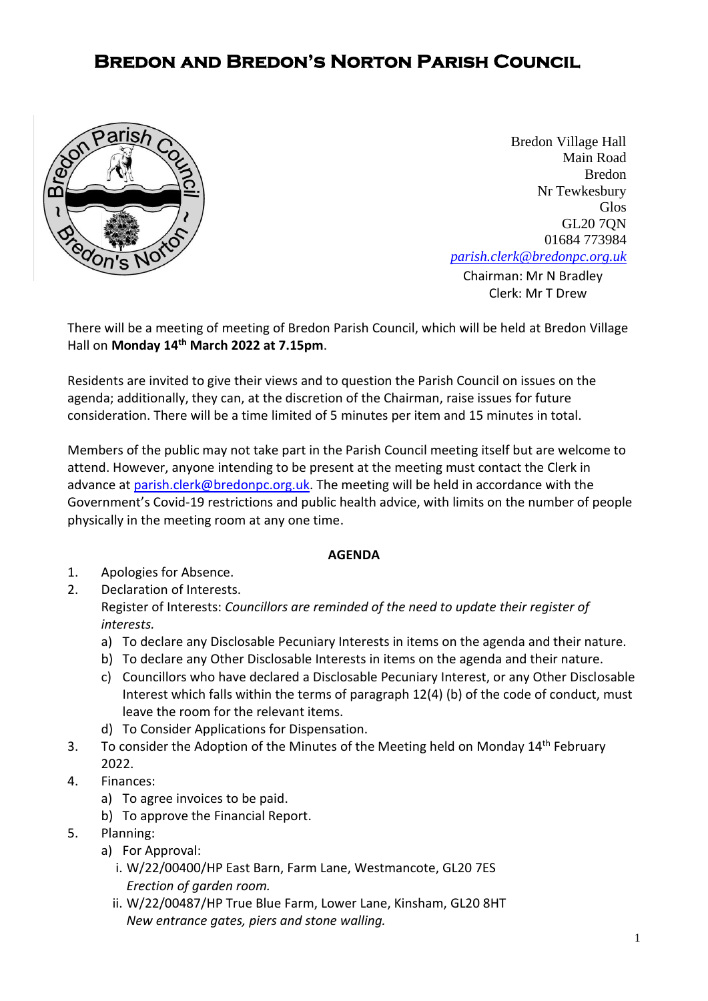## **Bredon and Bredon's Norton Parish Council**



**[Chairman:](mailto:parish.clerk@bredonpc.org.uk.com) Mr N Bradley** Bredon Village Hall Main Road Bredon Nr Tewkesbury Glos GL20 7QN 01684 773984 *[parish.clerk@bredonpc.org.uk](mailto:parish.clerk@bredonpc.org.uk.com)*

Clerk: Mr T Drew

There will be a meeting of meeting of Bredon Parish Council, which will be held at Bredon Village Hall on **Monday 14th March 2022 at 7.15pm**.

Residents are invited to give their views and to question the Parish Council on issues on the agenda; additionally, they can, at the discretion of the Chairman, raise issues for future consideration. There will be a time limited of 5 minutes per item and 15 minutes in total.

Members of the public may not take part in the Parish Council meeting itself but are welcome to attend. However, anyone intending to be present at the meeting must contact the Clerk in advance at [parish.clerk@bredonpc.org.uk.](mailto:parish.clerk@bredonpc.org.uk) The meeting will be held in accordance with the Government's Covid-19 restrictions and public health advice, with limits on the number of people physically in the meeting room at any one time.

## **AGENDA**

- 1. Apologies for Absence.
- 2. Declaration of Interests. Register of Interests: *Councillors are reminded of the need to update their register of interests.* 
	- a) To declare any Disclosable Pecuniary Interests in items on the agenda and their nature.
	- b) To declare any Other Disclosable Interests in items on the agenda and their nature.
	- c) Councillors who have declared a Disclosable Pecuniary Interest, or any Other Disclosable Interest which falls within the terms of paragraph 12(4) (b) of the code of conduct, must leave the room for the relevant items.
	- d) To Consider Applications for Dispensation.
- 3. To consider the Adoption of the Minutes of the Meeting held on Monday 14<sup>th</sup> February 2022.
- 4. Finances:
	- a) To agree invoices to be paid.
	- b) To approve the Financial Report.
- 5. Planning:
	- a) For Approval:
		- i. W/22/00400/HP East Barn, Farm Lane, Westmancote, GL20 7ES *Erection of garden room.*
		- ii. W/22/00487/HP True Blue Farm, Lower Lane, Kinsham, GL20 8HT *New entrance gates, piers and stone walling.*